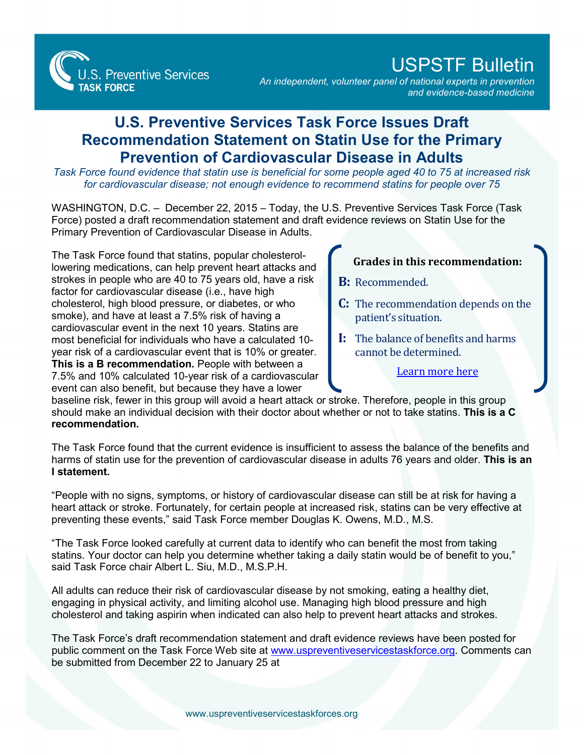**S. Preventive Services TASK FORCE** 

## USPSTF Bulletin

*An independent, volunteer panel of national experts in prevention and evidence-based medicine*

## **U.S. Preventive Services Task Force Issues Draft Recommendation Statement on Statin Use for the Primary Prevention of Cardiovascular Disease in Adults**

*Task Force found evidence that statin use is beneficial for some people aged 40 to 75 at increased risk for cardiovascular disease; not enough evidence to recommend statins for people over 75*

WASHINGTON, D.C. – December 22, 2015 – Today, the U.S. Preventive Services Task Force (Task Force) posted a draft recommendation statement and draft evidence reviews on Statin Use for the Primary Prevention of Cardiovascular Disease in Adults.

The Task Force found that statins, popular cholesterollowering medications, can help prevent heart attacks and strokes in people who are 40 to 75 years old, have a risk factor for cardiovascular disease (i.e., have high cholesterol, high blood pressure, or diabetes, or who smoke), and have at least a 7.5% risk of having a cardiovascular event in the next 10 years. Statins are most beneficial for individuals who have a calculated 10 year risk of a cardiovascular event that is 10% or greater. **This is a B recommendation.** People with between a 7.5% and 10% calculated 10-year risk of a cardiovascular event can also benefit, but because they have a lower

## **Grades in this recommendation:**

- **B:** Recommended.
- **C:** The recommendation depends on the patient's situation.
- **I:** The balance of benefits and harms cannot be determined.

## [Learn more here](http://www.uspreventiveservicestaskforce.org/Page/Name/grade-definitions)

baseline risk, fewer in this group will avoid a heart attack or stroke. Therefore, people in this group should make an individual decision with their doctor about whether or not to take statins. **This is a C recommendation.** 

The Task Force found that the current evidence is insufficient to assess the balance of the benefits and harms of statin use for the prevention of cardiovascular disease in adults 76 years and older. **This is an I statement.**

"People with no signs, symptoms, or history of cardiovascular disease can still be at risk for having a heart attack or stroke. Fortunately, for certain people at increased risk, statins can be very effective at preventing these events," said Task Force member Douglas K. Owens, M.D., M.S.

"The Task Force looked carefully at current data to identify who can benefit the most from taking statins. Your doctor can help you determine whether taking a daily statin would be of benefit to you," said Task Force chair Albert L. Siu, M.D., M.S.P.H.

All adults can reduce their risk of cardiovascular disease by not smoking, eating a healthy diet, engaging in physical activity, and limiting alcohol use. Managing high blood pressure and high cholesterol and taking aspirin when indicated can also help to prevent heart attacks and strokes.

The Task Force's draft recommendation statement and draft evidence reviews have been posted for public comment on the Task Force Web site at [www.uspreventiveservicestaskforce.org.](http://www.uspreventiveservicestaskforce.org/) Comments can be submitted from December 22 to January 25 at